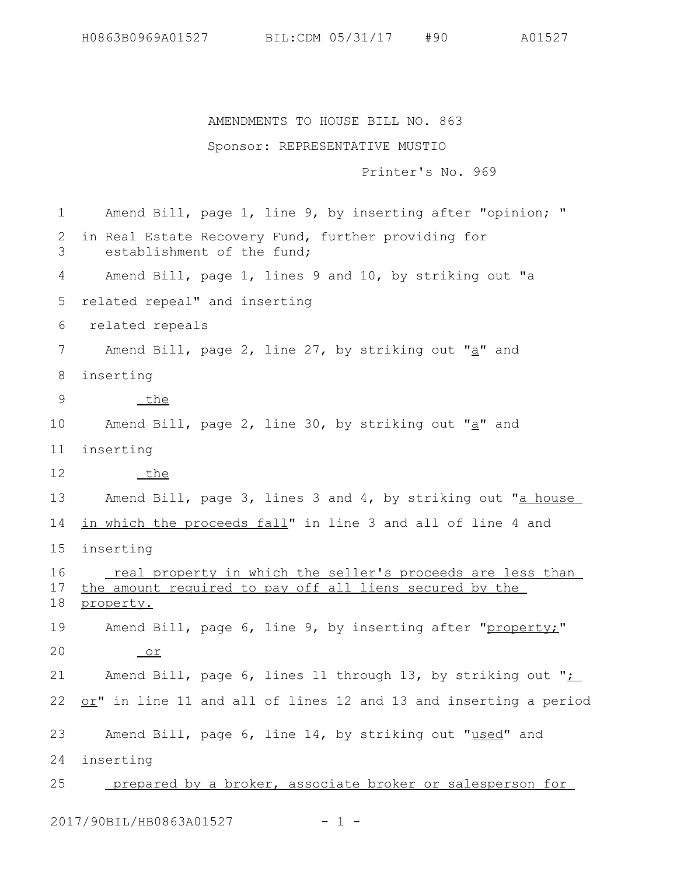H0863B0969A01527 BIL:CDM 05/31/17 #90 A01527

AMENDMENTS TO HOUSE BILL NO. 863

Sponsor: REPRESENTATIVE MUSTIO Printer's No. 969 Amend Bill, page 1, line 9, by inserting after "opinion; " in Real Estate Recovery Fund, further providing for establishment of the fund; Amend Bill, page 1, lines 9 and 10, by striking out "a related repeal" and inserting related repeals Amend Bill, page 2, line 27, by striking out " $a$ " and inserting the Amend Bill, page 2, line 30, by striking out " $a$ " and inserting the Amend Bill, page 3, lines 3 and 4, by striking out "a house in which the proceeds fall" in line 3 and all of line 4 and inserting real property in which the seller's proceeds are less than the amount required to pay off all liens secured by the property. Amend Bill, page 6, line 9, by inserting after "property;" or Amend Bill, page 6, lines 11 through 13, by striking out "; or" in line 11 and all of lines 12 and 13 and inserting a period Amend Bill, page 6, line 14, by striking out "used" and inserting prepared by a broker, associate broker or salesperson for 1 2 3 4 5 6 7 8 9 10 11 12 13 14 15 16 17 18 19 20 21 22 23 24 25

2017/90BIL/HB0863A01527 - 1 -